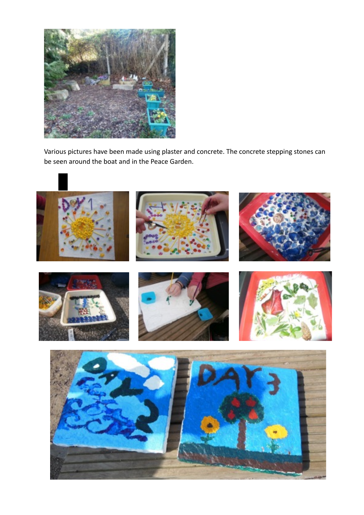

Various pictures have been made using plaster and concrete. The concrete stepping stones can be seen around the boat and in the Peace Garden.

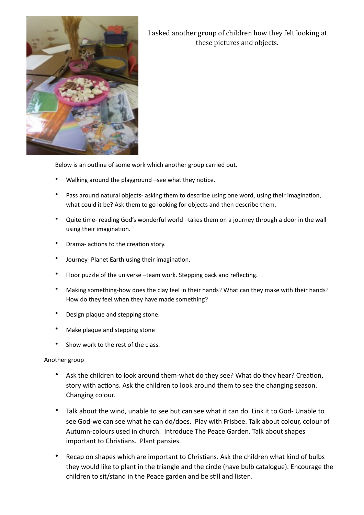

I asked another group of children how they felt looking at these pictures and objects.

Below is an outline of some work which another group carried out.

- Walking around the playground -see what they notice.
- Pass around natural objects- asking them to describe using one word, using their imagination, what could it be? Ask them to go looking for objects and then describe them.
- Quite time- reading God's wonderful world -takes them on a journey through a door in the wall using their imagination.
- Drama- actions to the creation story.
- Journey- Planet Earth using their imagination.
- Floor puzzle of the universe -team work. Stepping back and reflecting.
- Making something-how does the clay feel in their hands? What can they make with their hands? How do they feel when they have made something?
- Design plaque and stepping stone.
- Make plaque and stepping stone
- Show work to the rest of the class.

## Another group

- Ask the children to look around them-what do they see? What do they hear? Creation, story with actions. Ask the children to look around them to see the changing season. Changing colour.
- Talk about the wind, unable to see but can see what it can do. Link it to God- Unable to see God-we can see what he can do/does. Play with Frisbee. Talk about colour, colour of Autumn-colours used in church. Introduce The Peace Garden. Talk about shapes important to Christians. Plant pansies.
- Recap on shapes which are important to Christians. Ask the children what kind of bulbs they would like to plant in the triangle and the circle (have bulb catalogue). Encourage the children to sit/stand in the Peace garden and be still and listen.